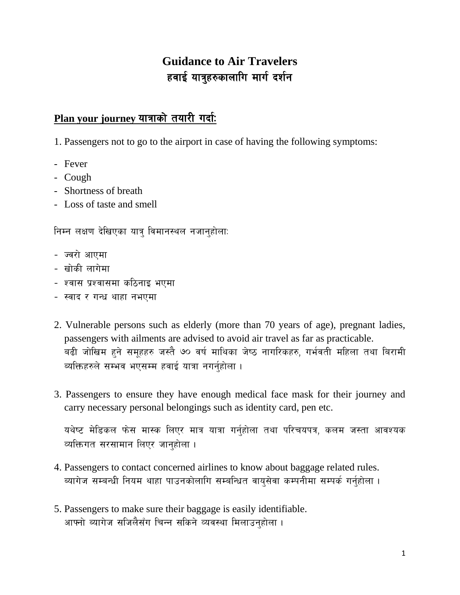# **Guidance to Air Travelers** हवाई यात्रुहरुकालागि मार्ग दर्शन

## Plan your journey यात्राको तयारी गर्दा:

1. Passengers not to go to the airport in case of having the following symptoms:

- Fever
- Cough
- Shortness of breath
- Loss of taste and smell

निम्न लक्षण देखिएका यात्र विमानस्थल नजानुहोला:

- ज्वरो आएमा
- खोकी लागेमा
- श्वास प्रश्वासमा कठिनाइ भएमा
- स्वाद र गन्ध थाहा नभएमा
- 2. Vulnerable persons such as elderly (more than 70 years of age), pregnant ladies, passengers with ailments are advised to avoid air travel as far as practicable. बढी जोखिम हुने समहहरु जस्तै ७० वर्ष माथिका जेष्ठ नागरिकहरु, गर्भवती महिला तथा बिरामी व्यक्तिहरुले सम्भव भएसम्म हवाई यात्रा नगर्नहोला ।
- 3. Passengers to ensure they have enough medical face mask for their journey and carry necessary personal belongings such as identity card, pen etc.

यथेष्ट मेडिकल फेस मास्क लिएर मात्र यात्रा गर्नुहोला तथा परिचयपत्र, कलम जस्ता आवश्यक व्यक्तिगत सरसामान लिएर जान्होला ।

- 4. Passengers to contact concerned airlines to know about baggage related rules. ब्यागेज सम्बन्धी नियम थाहा पाउनकोलागि सम्बन्धित वायुसेवा कम्पनीमा सम्पर्क गर्नुहोला ।
- 5. Passengers to make sure their baggage is easily identifiable. आफ्नो ब्यागेज सजिलैसँग चिन्न सकिने व्यवस्था मिलाउनुहोला ।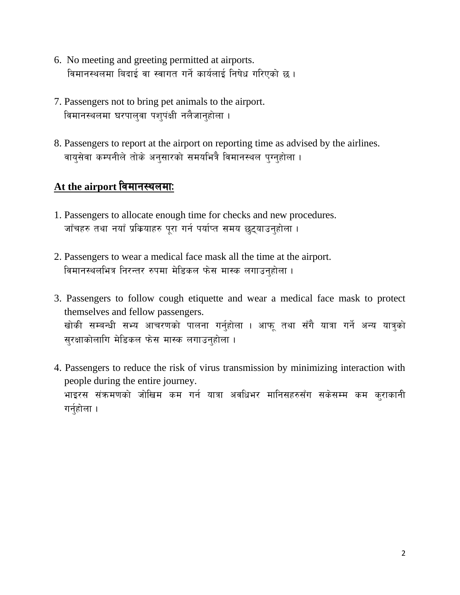- 6. No meeting and greeting permitted at airports. विमानस्थलमा बिदाई वा स्वागत गर्ने कार्यलाई निषेध गरिएको छ।
- 7. Passengers not to bring pet animals to the airport. विमानस्थलमा घरपालुवा पशुपंक्षी नलैजानुहोला ।
- 8. Passengers to report at the airport on reporting time as advised by the airlines. वायुसेवा कम्पनीले तोके अनुसारको समयभित्रै विमानस्थल पुग्नुहोला ।

## At the airport विमानस्थलमा:

- 1. Passengers to allocate enough time for checks and new procedures. जाँचहरु तथा नयाँ प्रकियाहरु परा गर्न पर्याप्त समय छटयाउनहोला ।
- 2. Passengers to wear a medical face mask all the time at the airport. विमानस्थलभित्र निरन्तर रुपमा मेडिकल फेस मास्क लगाउनहोला ।
- 3. Passengers to follow cough etiquette and wear a medical face mask to protect themselves and fellow passengers. खोकी सम्बन्धी सभ्य आचरणको पालना गर्नुहोला । आफू तथा सँगै यात्रा गर्ने अन्य यात्र्को सुरक्षाकोलागि मेडिकल फेस मास्क लगाउनुहोला ।
- 4. Passengers to reduce the risk of virus transmission by minimizing interaction with people during the entire journey. भाइरस संक्रमणको जोखिम कम गर्न यात्रा अवधिभर मानिसहरुसँग सकेसम्म कम कुराकानी गर्नुहोला $|$ ।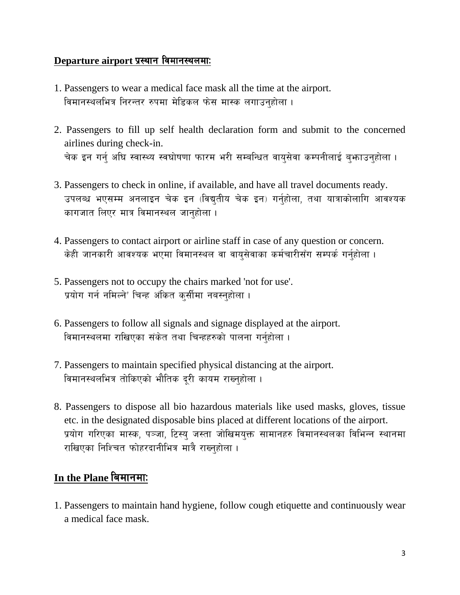#### Departure airport प्रस्थान विमानस्थलमाः

- 1. Passengers to wear a medical face mask all the time at the airport. विमानस्थलभित्र निरन्तर रुपमा मेडिकल फेस मास्क लगाउनहोला ।
- 2. Passengers to fill up self health declaration form and submit to the concerned airlines during check-in. चेक इन गर्न् अघि स्वास्थ्य स्वघोषणा फारम भरी सम्बन्धित वायुसेवा कम्पनीलाई बुभ्काउनुहोला ।
- 3. Passengers to check in online, if available, and have all travel documents ready. उपलब्ध भएसम्म अनलाइन चेक इन (विद्युतीय चेक इन) गर्नुहोला, तथा यात्राकोलागि आवश्यक कागजात लिएर मात्र विमानस्थल जानुहोला ।
- 4. Passengers to contact airport or airline staff in case of any question or concern. केही जानकारी आवश्यक भएमा विमानस्थल वा वायुसेवाका कर्मचारीसँग सम्पर्क गर्नुहोला ।
- 5. Passengers not to occupy the chairs marked 'not for use'. प्रयोग गर्न नमिल्ने' चिन्ह अंकित कुर्सीमा नबस्नुहोला ।
- 6. Passengers to follow all signals and signage displayed at the airport. विमानस्थलमा राखिएका संकेत तथा चिन्हहरुको पालना गर्नुहोला ।
- 7. Passengers to maintain specified physical distancing at the airport. विमानस्थलभित्र तोकिएको भौतिक दूरी कायम राख्नुहोला ।
- 8. Passengers to dispose all bio hazardous materials like used masks, gloves, tissue etc. in the designated disposable bins placed at different locations of the airport. प्रयोग गरिएका मास्क, पञ्जा, टिस्य् जस्ता जोखिमयुक्त सामानहरु विमानस्थलका विभिन्न स्थानमा राखिएका निश्चित फोहरदानीभित्र मात्रै राख्नुहोला ।

## In the Plane बिमानमा:

1. Passengers to maintain hand hygiene, follow cough etiquette and continuously wear a medical face mask.